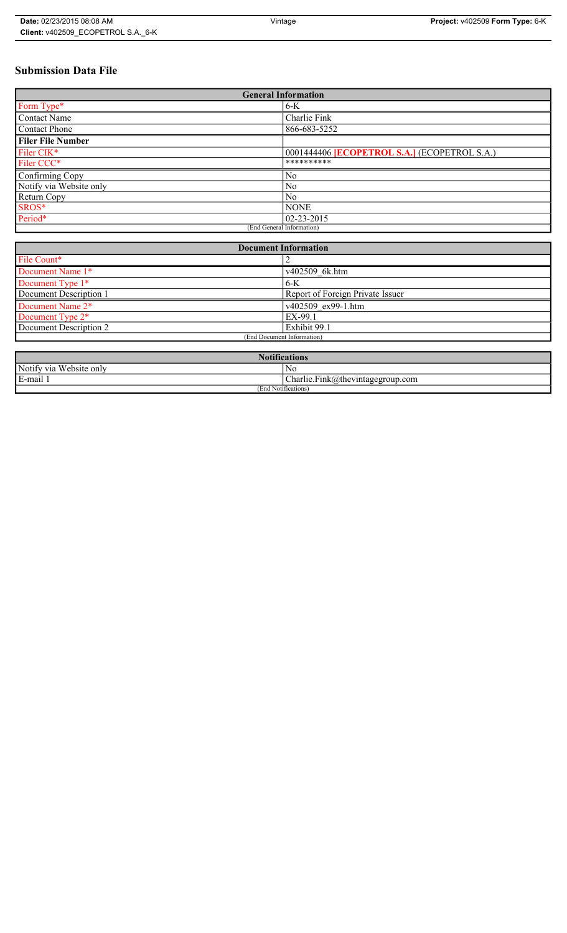# **Submission Data File**

| <b>General Information</b> |                                                     |  |
|----------------------------|-----------------------------------------------------|--|
| Form Type*                 | $6-K$                                               |  |
| <b>Contact Name</b>        | Charlie Fink                                        |  |
| Contact Phone              | 866-683-5252                                        |  |
| <b>Filer File Number</b>   |                                                     |  |
| Filer CIK*                 | 0001444406 <b>[ECOPETROL S.A.]</b> (ECOPETROL S.A.) |  |
| Filer CCC*                 | **********                                          |  |
| Confirming Copy            | No                                                  |  |
| Notify via Website only    | N <sub>0</sub>                                      |  |
| Return Copy                | N <sub>0</sub>                                      |  |
| SROS*                      | <b>NONE</b>                                         |  |
| Period*                    | $02 - 23 - 2015$                                    |  |
| (End General Information)  |                                                     |  |

| <b>Document Information</b>  |                                  |
|------------------------------|----------------------------------|
| File Count*                  |                                  |
| Document Name 1*             | v402509 6k.htm                   |
| Document Type 1*             | $6-K$                            |
| Document Description 1       | Report of Foreign Private Issuer |
| Document Name 2*             | v402509 ex99-1.htm               |
| Document Type 2 <sup>*</sup> | EX-99.1                          |
| Document Description 2       | Exhibit 99.1                     |
| (End Document Information)   |                                  |
|                              |                                  |

| 1.00<br>tifications                        |                                                                        |  |
|--------------------------------------------|------------------------------------------------------------------------|--|
| Notify via<br><b>TTT</b><br>. Website only | N0                                                                     |  |
| E-mail                                     | $\mathbf{r}$<br>$\sim$<br>$\text{Charlie.Fink}(a)$ thevintagegroup.com |  |
| (End Notifications)                        |                                                                        |  |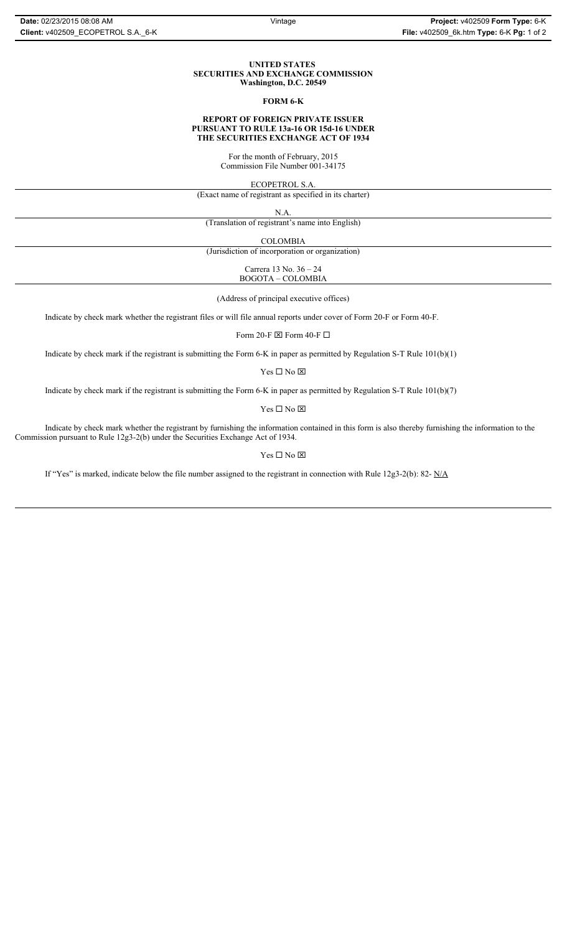#### **UNITED STATES SECURITIES AND EXCHANGE COMMISSION Washington, D.C. 20549**

#### **FORM 6-K**

### **REPORT OF FOREIGN PRIVATE ISSUER PURSUANT TO RULE 13a-16 OR 15d-16 UNDER THE SECURITIES EXCHANGE ACT OF 1934**

For the month of February, 2015 Commission File Number 001-34175

ECOPETROL S.A.

(Exact name of registrant as specified in its charter)

N.A.

(Translation of registrant's name into English)

COLOMBIA

(Jurisdiction of incorporation or organization)

Carrera 13 No. 36 – 24 BOGOTA – COLOMBIA

(Address of principal executive offices)

Indicate by check mark whether the registrant files or will file annual reports under cover of Form 20-F or Form 40-F.

Form 20-F  $\boxtimes$  Form 40-F  $\Box$ 

Indicate by check mark if the registrant is submitting the Form 6-K in paper as permitted by Regulation S-T Rule 101(b)(1)

 $Yes \Box No \boxtimes$ 

Indicate by check mark if the registrant is submitting the Form 6-K in paper as permitted by Regulation S-T Rule 101(b)(7)

 $\mathbf{Y}\mathbf{es} \ \Box \ \mathbf{No} \ \boxtimes$ 

Indicate by check mark whether the registrant by furnishing the information contained in this form is also thereby furnishing the information to the Commission pursuant to Rule 12g3-2(b) under the Securities Exchange Act of 1934.

 $Yes \Box No \boxtimes$ 

If "Yes" is marked, indicate below the file number assigned to the registrant in connection with Rule 12g3-2(b): 82- N/A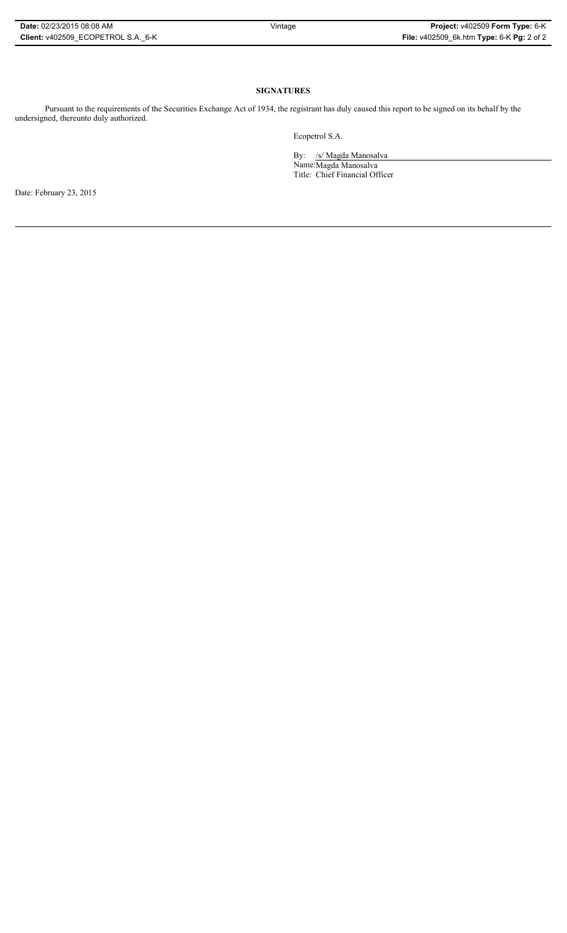## **SIGNATURES**

Pursuant to the requirements of the Securities Exchange Act of 1934, the registrant has duly caused this report to be signed on its behalf by the undersigned, thereunto duly authorized.

Ecopetrol S.A.

By: /s/ Magda Manosalva Name:Magda Manosalva Title: Chief Financial Officer

Date: February 23, 2015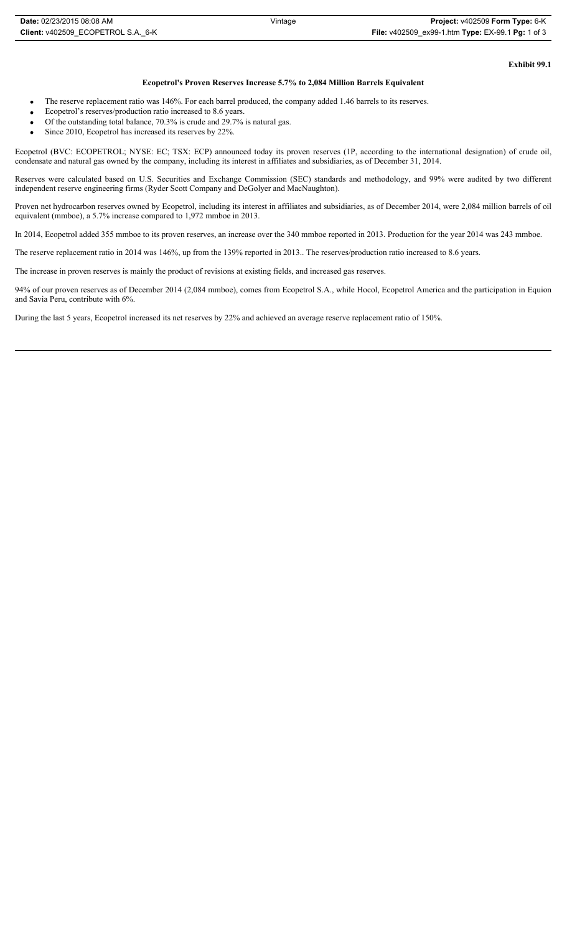## **Ecopetrol's Proven Reserves Increase 5.7% to 2,084 Million Barrels Equivalent**

- The reserve replacement ratio was 146%. For each barrel produced, the company added 1.46 barrels to its reserves.
- Ecopetrol's reserves/production ratio increased to 8.6 years.
- $\bullet$  Of the outstanding total balance, 70.3% is crude and 29.7% is natural gas.
- $\bullet$  Since 2010, Ecopetrol has increased its reserves by 22%.

Ecopetrol (BVC: ECOPETROL; NYSE: EC; TSX: ECP) announced today its proven reserves (1P, according to the international designation) of crude oil, condensate and natural gas owned by the company, including its interest in affiliates and subsidiaries, as of December 31, 2014.

Reserves were calculated based on U.S. Securities and Exchange Commission (SEC) standards and methodology, and 99% were audited by two different independent reserve engineering firms (Ryder Scott Company and DeGolyer and MacNaughton).

Proven net hydrocarbon reserves owned by Ecopetrol, including its interest in affiliates and subsidiaries, as of December 2014, were 2,084 million barrels of oil equivalent (mmboe), a 5.7% increase compared to 1,972 mmboe in 2013.

In 2014, Ecopetrol added 355 mmboe to its proven reserves, an increase over the 340 mmboe reported in 2013. Production for the year 2014 was 243 mmboe.

The reserve replacement ratio in 2014 was 146%, up from the 139% reported in 2013.. The reserves/production ratio increased to 8.6 years.

The increase in proven reserves is mainly the product of revisions at existing fields, and increased gas reserves.

94% of our proven reserves as of December 2014 (2,084 mmboe), comes from Ecopetrol S.A., while Hocol, Ecopetrol America and the participation in Equion and Savia Peru, contribute with 6%.

During the last 5 years, Ecopetrol increased its net reserves by 22% and achieved an average reserve replacement ratio of 150%.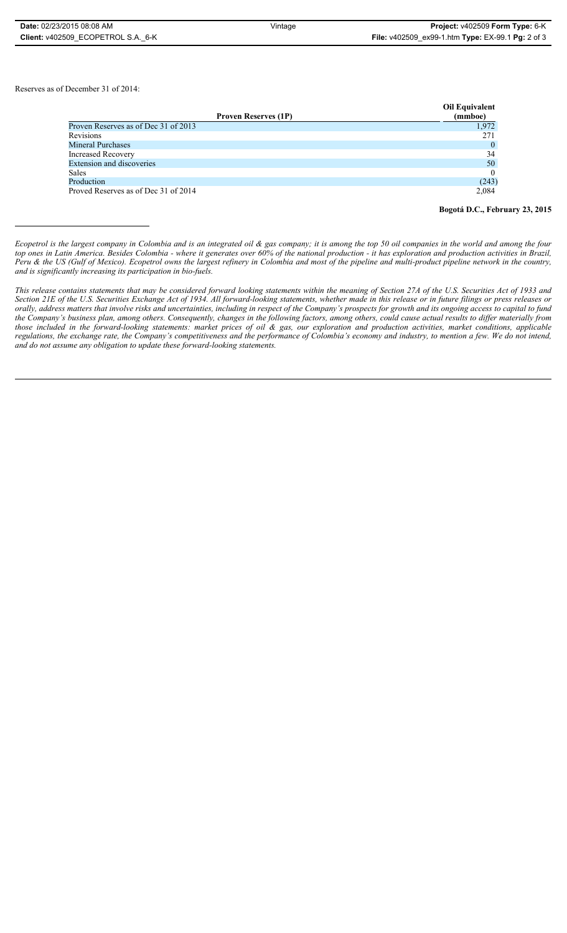Reserves as of December 31 of 2014:

| <b>Proven Reserves (1P)</b>          | Oil Equivalent<br>(mmboe) |
|--------------------------------------|---------------------------|
| Proven Reserves as of Dec 31 of 2013 | 1,972                     |
| <b>Revisions</b>                     | 271                       |
| <b>Mineral Purchases</b>             | $\overline{0}$            |
| <b>Increased Recovery</b>            | 34                        |
| <b>Extension and discoveries</b>     | 50                        |
| Sales                                |                           |
| Production                           | (243)                     |
| Proved Reserves as of Dec 31 of 2014 | 2,084                     |

**Bogotá D.C., February 23, 2015**

*This release contains statements that may be considered forward looking statements within the meaning of Section 27A of the U.S. Securities Act of 1933 and Section 21E of the U.S. Securities Exchange Act of 1934. All forward-looking statements, whether made in this release or in future filings or press releases or* orally, address matters that involve risks and uncertainties, including in respect of the Company's prospects for growth and its ongoing access to capital to fund *the Company's business plan, among others. Consequently, changes in the following factors, among others, could cause actual results to differ materially from those included in the forward-looking statements: market prices of oil & gas, our exploration and production activities, market conditions, applicable regulations, the exchange rate, the Company's competitiveness and the performance of Colombia's economy and industry, to mention a few. We do not intend, and do not assume any obligation to update these forward-looking statements.*

*Ecopetrol is the largest company in Colombia and is an integrated oil & gas company; it is among the top 50 oil companies in the world and among the four top ones in Latin America. Besides Colombia - where it generates over 60% of the national production - it has exploration and production activities in Brazil, Peru & the US (Gulf of Mexico). Ecopetrol owns the largest refinery in Colombia and most of the pipeline and multi-product pipeline network in the country, and is significantly increasing its participation in bio-fuels.*